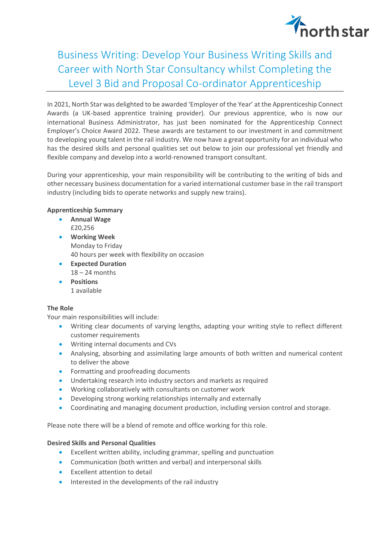# northstar

## Business Writing: Develop Your Business Writing Skills and Career with North Star Consultancy whilst Completing the Level 3 Bid and Proposal Co-ordinator Apprenticeship

In 2021, North Star was delighted to be awarded 'Employer of the Year' at the Apprenticeship Connect Awards (a UK-based apprentice training provider). Our previous apprentice, who is now our international Business Administrator, has just been nominated for the Apprenticeship Connect Employer's Choice Award 2022. These awards are testament to our investment in and commitment to developing young talent in the rail industry. We now have a great opportunity for an individual who has the desired skills and personal qualities set out below to join our professional yet friendly and flexible company and develop into a world-renowned transport consultant.

During your apprenticeship, your main responsibility will be contributing to the writing of bids and other necessary business documentation for a varied international customer base in the rail transport industry (including bids to operate networks and supply new trains).

### **Apprenticeship Summary**

- **Annual Wage** £20,256
- **Working Week** Monday to Friday 40 hours per week with flexibility on occasion
- **Expected Duration** 18 – 24 months
- **Positions** 1 available

### **The Role**

Your main responsibilities will include:

- Writing clear documents of varying lengths, adapting your writing style to reflect different customer requirements
- Writing internal documents and CVs
- Analysing, absorbing and assimilating large amounts of both written and numerical content to deliver the above
- Formatting and proofreading documents
- Undertaking research into industry sectors and markets as required
- Working collaboratively with consultants on customer work
- Developing strong working relationships internally and externally
- Coordinating and managing document production, including version control and storage.

Please note there will be a blend of remote and office working for this role.

### **Desired Skills and Personal Qualities**

- Excellent written ability, including grammar, spelling and punctuation
- Communication (both written and verbal) and interpersonal skills
- Excellent attention to detail
- Interested in the developments of the rail industry